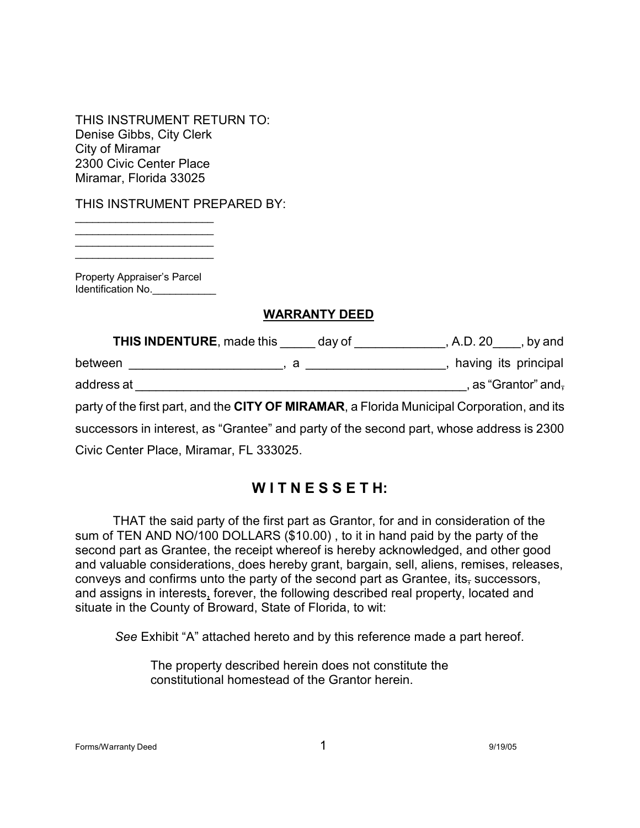THIS INSTRUMENT RETURN TO: Denise Gibbs, City Clerk City of Miramar 2300 Civic Center Place Miramar, Florida 33025

THIS INSTRUMENT PREPARED BY:

Property Appraiser's Parcel Identification No.

\_\_\_\_\_\_\_\_\_\_\_\_\_\_\_\_\_\_\_\_\_\_\_\_  $\overline{\phantom{a}}$  ,  $\overline{\phantom{a}}$  ,  $\overline{\phantom{a}}$  ,  $\overline{\phantom{a}}$  ,  $\overline{\phantom{a}}$  ,  $\overline{\phantom{a}}$  ,  $\overline{\phantom{a}}$  ,  $\overline{\phantom{a}}$  ,  $\overline{\phantom{a}}$  ,  $\overline{\phantom{a}}$  ,  $\overline{\phantom{a}}$  ,  $\overline{\phantom{a}}$  ,  $\overline{\phantom{a}}$  ,  $\overline{\phantom{a}}$  ,  $\overline{\phantom{a}}$  ,  $\overline{\phantom{a}}$ \_\_\_\_\_\_\_\_\_\_\_\_\_\_\_\_\_\_\_\_\_\_\_\_ \_\_\_\_\_\_\_\_\_\_\_\_\_\_\_\_\_\_\_\_\_\_\_\_

#### **WARRANTY DEED**

| <b>THIS INDENTURE, made this day of</b>                                                    | $A.D. 20$ , by and |                      |
|--------------------------------------------------------------------------------------------|--------------------|----------------------|
|                                                                                            |                    | having its principal |
| address at                                                                                 |                    | , as "Grantor" and,  |
| party of the first part, and the CITY OF MIRAMAR, a Florida Municipal Corporation, and its |                    |                      |
| successors in interest, as "Grantee" and party of the second part, whose address is 2300   |                    |                      |
| Civic Center Place, Miramar, FL 333025.                                                    |                    |                      |

# **W I T N E S S E T H:**

THAT the said party of the first part as Grantor, for and in consideration of the sum of TEN AND NO/100 DOLLARS (\$10.00) , to it in hand paid by the party of the second part as Grantee, the receipt whereof is hereby acknowledged, and other good and valuable considerations, does hereby grant, bargain, sell, aliens, remises, releases, conveys and confirms unto the party of the second part as Grantee, its, successors, and assigns in interests, forever, the following described real property, located and situate in the County of Broward, State of Florida, to wit:

*See* Exhibit "A" attached hereto and by this reference made a part hereof.

The property described herein does not constitute the constitutional homestead of the Grantor herein.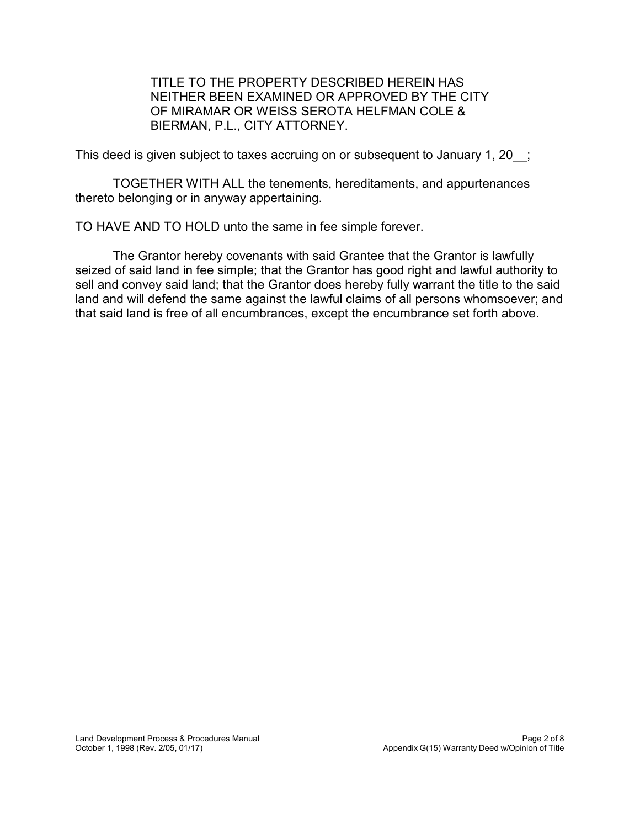TITLE TO THE PROPERTY DESCRIBED HEREIN HAS NEITHER BEEN EXAMINED OR APPROVED BY THE CITY OF MIRAMAR OR WEISS SEROTA HELFMAN COLE & BIERMAN, P.L., CITY ATTORNEY.

This deed is given subject to taxes accruing on or subsequent to January 1, 20 ;

TOGETHER WITH ALL the tenements, hereditaments, and appurtenances thereto belonging or in anyway appertaining.

TO HAVE AND TO HOLD unto the same in fee simple forever.

The Grantor hereby covenants with said Grantee that the Grantor is lawfully seized of said land in fee simple; that the Grantor has good right and lawful authority to sell and convey said land; that the Grantor does hereby fully warrant the title to the said land and will defend the same against the lawful claims of all persons whomsoever; and that said land is free of all encumbrances, except the encumbrance set forth above.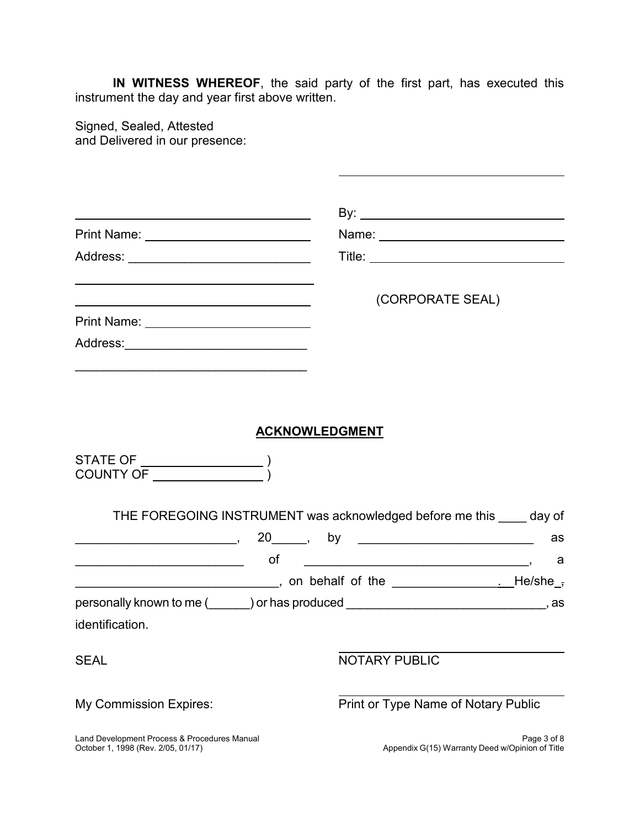**IN WITNESS WHEREOF**, the said party of the first part, has executed this instrument the day and year first above written.

Signed, Sealed, Attested and Delivered in our presence:

| Print Name: <u>_____________________________</u>                                                              |                       |  |                                     |               |                  |    |  |
|---------------------------------------------------------------------------------------------------------------|-----------------------|--|-------------------------------------|---------------|------------------|----|--|
|                                                                                                               |                       |  |                                     |               |                  |    |  |
|                                                                                                               |                       |  |                                     |               | (CORPORATE SEAL) |    |  |
|                                                                                                               |                       |  |                                     |               |                  |    |  |
|                                                                                                               |                       |  |                                     |               |                  |    |  |
|                                                                                                               |                       |  |                                     |               |                  |    |  |
|                                                                                                               |                       |  |                                     |               |                  |    |  |
|                                                                                                               | <b>ACKNOWLEDGMENT</b> |  |                                     |               |                  |    |  |
| STATE OF $\_\_\_\_\_\_\_\_$<br>COUNTY OF THE COUNTY OF                                                        |                       |  |                                     |               |                  |    |  |
| THE FOREGOING INSTRUMENT was acknowledged before me this ____ day of                                          |                       |  |                                     |               |                  |    |  |
| $\sim$ 20 $\sim$ by $\sim$                                                                                    |                       |  |                                     |               |                  | as |  |
|                                                                                                               |                       |  |                                     |               |                  |    |  |
|                                                                                                               |                       |  |                                     |               |                  |    |  |
| personally known to me (equipment) or has produced entity and the set of the set of the set of the set of the |                       |  |                                     |               |                  |    |  |
| identification.                                                                                               |                       |  |                                     |               |                  |    |  |
| <b>SEAL</b>                                                                                                   |                       |  |                                     | NOTARY PUBLIC |                  |    |  |
| My Commission Expires:                                                                                        |                       |  | Print or Type Name of Notary Public |               |                  |    |  |

October 1, 1998 (Rev. 2/05, 01/17)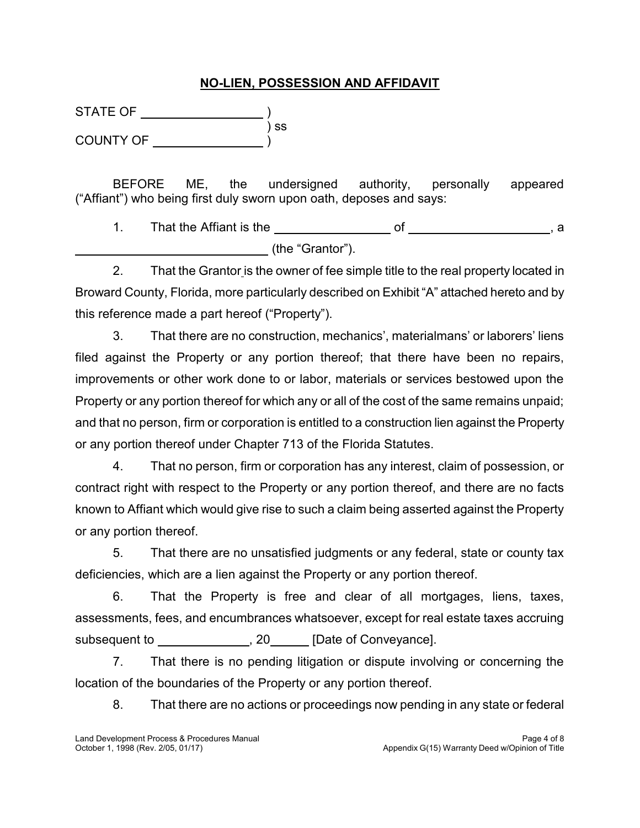#### **NO-LIEN, POSSESSION AND AFFIDAVIT**

) ss ) STATE OF ) COUNTY OF

 $\overline{a}$ 

BEFORE ME, the undersigned authority, personally appeared ("Affiant") who being first duly sworn upon oath, deposes and says:

 1. That the Affiant is the of , a (the "Grantor").

 2. That the Grantor is the owner of fee simple title to the real property located in Broward County, Florida, more particularly described on Exhibit "A" attached hereto and by this reference made a part hereof ("Property").

 filed against the Property or any portion thereof; that there have been no repairs, improvements or other work done to or labor, materials or services bestowed upon the Property or any portion thereof for which any or all of the cost of the same remains unpaid; and that no person, firm or corporation is entitled to a construction lien against the Property 3. That there are no construction, mechanics', materialmans' or laborers' liens or any portion thereof under Chapter 713 of the Florida Statutes.

 4. That no person, firm or corporation has any interest, claim of possession, or contract right with respect to the Property or any portion thereof, and there are no facts known to Affiant which would give rise to such a claim being asserted against the Property or any portion thereof.

 5. That there are no unsatisfied judgments or any federal, state or county tax deficiencies, which are a lien against the Property or any portion thereof.

 6. That the Property is free and clear of all mortgages, liens, taxes, assessments, fees, and encumbrances whatsoever, except for real estate taxes accruing subsequent to \_\_\_\_\_\_\_\_\_\_\_\_\_\_\_, 20\_\_\_\_\_\_ [Date of Conveyance].

 7. That there is no pending litigation or dispute involving or concerning the location of the boundaries of the Property or any portion thereof.

8. That there are no actions or proceedings now pending in any state or federal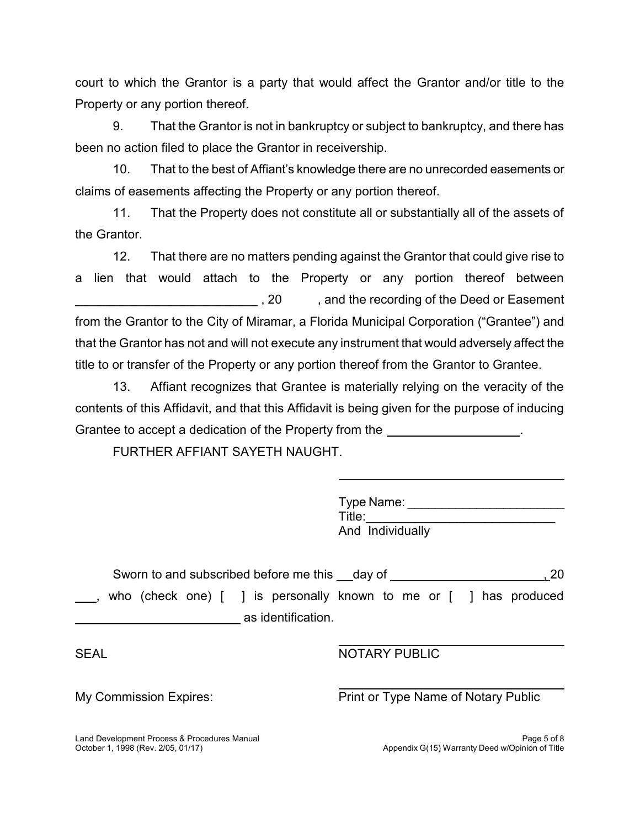court to which the Grantor is a party that would affect the Grantor and/or title to the Property or any portion thereof.

 9. That the Grantor is not in bankruptcy or subject to bankruptcy, and there has been no action filed to place the Grantor in receivership.

 10. That to the best of Affiant's knowledge there are no unrecorded easements or claims of easements affecting the Property or any portion thereof.

 11. That the Property does not constitute all or substantially all of the assets of the Grantor.

 12. That there are no matters pending against the Grantor that could give rise to a lien that would attach to the Property or any portion thereof between  $\sim 20$  from the Grantor to the City of Miramar, a Florida Municipal Corporation ("Grantee") and that the Grantor has not and will not execute any instrument that would adversely affect the \_\_\_\_\_\_\_\_\_\_\_\_\_\_\_\_\_\_\_\_\_\_\_\_\_\_ , 20 , and the recording of the Deed or Easement title to or transfer of the Property or any portion thereof from the Grantor to Grantee.

 13. Affiant recognizes that Grantee is materially relying on the veracity of the contents of this Affidavit, and that this Affidavit is being given for the purpose of inducing Grantee to accept a dedication of the Property from the **entitled** to accept a dedication of the Property from the

FURTHER AFFIANT SAYETH NAUGHT.

Type Name:  $\Box$ Title: And Individually

Sworn to and subscribed before me this \_\_day of \_\_\_\_\_\_\_\_\_\_\_\_\_\_\_\_\_\_\_\_\_\_\_\_\_\_\_\_\_20  $\overline{a}$  $\overline{a}$ , who (check one) [ ] is personally known to me or [ ] has produced as identification.

SEAL NOTARY PUBLIC

My Commission Expires: Print or Type Name of Notary Public

October 1, 1998 (Rev. 2/05, 01/17)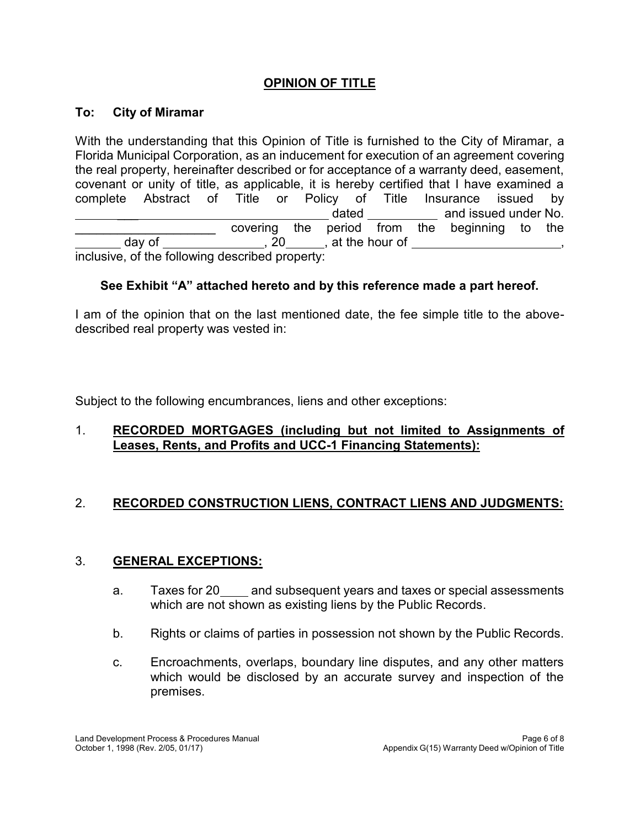## **OPINION OF TITLE**

#### **To: City of Miramar**

 $\overline{a}$  $\overline{a}$ With the understanding that this Opinion of Title is furnished to the City of Miramar, a Florida Municipal Corporation, as an inducement for execution of an agreement covering the real property, hereinafter described or for acceptance of a warranty deed, easement, covenant or unity of title, as applicable, it is hereby certified that I have examined a complete Abstract of Title or Policy of Title Insurance issued by dated and issued under No. covering the period from the beginning to the day of the nour of the hour of inclusive, of the following described property:  $\overline{\phantom{a}}$  $\overline{\phantom{a}}$  , where  $\overline{\phantom{a}}$ ,

## **See Exhibit "A" attached hereto and by this reference made a part hereof.**

 I am of the opinion that on the last mentioned date, the fee simple title to the abovedescribed real property was vested in:

Subject to the following encumbrances, liens and other exceptions:

## 1. **RECORDED MORTGAGES (including but not limited to Assignments of Leases, Rents, and Profits and UCC-1 Financing Statements):**

# 2. **RECORDED CONSTRUCTION LIENS, CONTRACT LIENS AND JUDGMENTS:**

#### 3. **GENERAL EXCEPTIONS:**

- a. Taxes for 20\_\_\_\_ and subsequent years and taxes or special assessments which are not shown as existing liens by the Public Records.
- b. Rights or claims of parties in possession not shown by the Public Records.
- c. Encroachments, overlaps, boundary line disputes, and any other matters which would be disclosed by an accurate survey and inspection of the premises.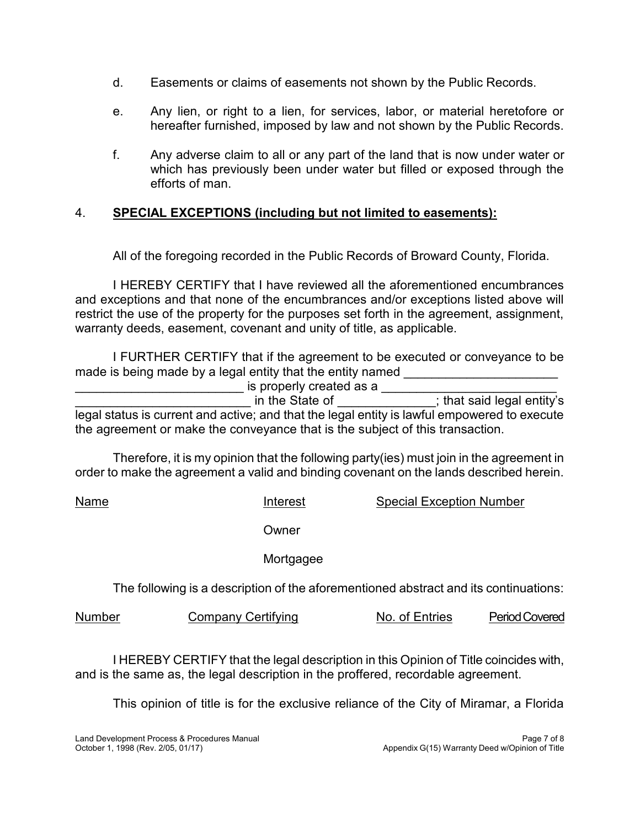- d. Easements or claims of easements not shown by the Public Records.
- e. Any lien, or right to a lien, for services, labor, or material heretofore or hereafter furnished, imposed by law and not shown by the Public Records.
- f. Any adverse claim to all or any part of the land that is now under water or which has previously been under water but filled or exposed through the efforts of man.

# 4. **SPECIAL EXCEPTIONS (including but not limited to easements):**

All of the foregoing recorded in the Public Records of Broward County, Florida.

 I HEREBY CERTIFY that I have reviewed all the aforementioned encumbrances and exceptions and that none of the encumbrances and/or exceptions listed above will restrict the use of the property for the purposes set forth in the agreement, assignment, warranty deeds, easement, covenant and unity of title, as applicable.

 I FURTHER CERTIFY that if the agreement to be executed or conveyance to be made is being made by a legal entity that the entity named **with the set of the entity** 

\_\_\_\_\_\_\_\_\_\_\_\_\_\_\_\_\_\_\_\_\_\_\_\_\_\_\_\_\_\_\_\_\_ in the State of \_\_\_\_\_\_\_\_\_\_\_\_\_\_\_\_; that said legal entity's legal status is current and active; and that the legal entity is lawful empowered to execute \_\_\_\_\_\_\_\_\_\_\_\_\_\_\_\_\_\_\_\_\_\_\_\_ is properly created as a \_\_\_\_\_\_\_\_\_\_\_\_\_\_\_\_\_\_\_\_\_\_\_\_\_ the agreement or make the conveyance that is the subject of this transaction.

 Therefore, it is my opinion that the following party(ies) must join in the agreement in order to make the agreement a valid and binding covenant on the lands described herein.

Name **Interest** Special Exception Number

**Owner** 

Mortgagee

The following is a description of the aforementioned abstract and its continuations:

Number Company Certifying No. of Entries Period Covered

 I HEREBY CERTIFY that the legal description in this Opinion of Title coincides with, and is the same as, the legal description in the proffered, recordable agreement.

This opinion of title is for the exclusive reliance of the City of Miramar, a Florida